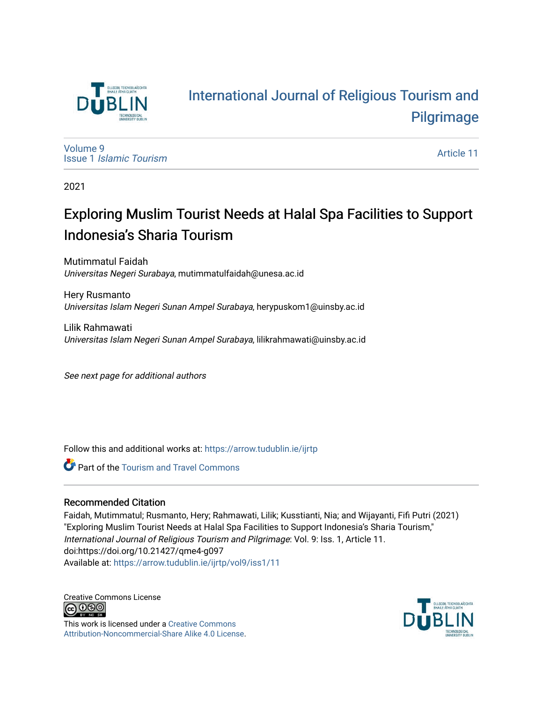

# [International Journal of Religious Tourism and](https://arrow.tudublin.ie/ijrtp)  [Pilgrimage](https://arrow.tudublin.ie/ijrtp)

[Volume 9](https://arrow.tudublin.ie/ijrtp/vol9) Issue 1 [Islamic Tourism](https://arrow.tudublin.ie/ijrtp/vol9/iss1)

[Article 11](https://arrow.tudublin.ie/ijrtp/vol9/iss1/11) 

2021

# Exploring Muslim Tourist Needs at Halal Spa Facilities to Support Indonesia's Sharia Tourism

Mutimmatul Faidah Universitas Negeri Surabaya, mutimmatulfaidah@unesa.ac.id

Hery Rusmanto Universitas Islam Negeri Sunan Ampel Surabaya, herypuskom1@uinsby.ac.id

Lilik Rahmawati Universitas Islam Negeri Sunan Ampel Surabaya, lilikrahmawati@uinsby.ac.id

See next page for additional authors

Follow this and additional works at: [https://arrow.tudublin.ie/ijrtp](https://arrow.tudublin.ie/ijrtp?utm_source=arrow.tudublin.ie%2Fijrtp%2Fvol9%2Fiss1%2F11&utm_medium=PDF&utm_campaign=PDFCoverPages)

**C** Part of the [Tourism and Travel Commons](http://network.bepress.com/hgg/discipline/1082?utm_source=arrow.tudublin.ie%2Fijrtp%2Fvol9%2Fiss1%2F11&utm_medium=PDF&utm_campaign=PDFCoverPages)

# Recommended Citation

Faidah, Mutimmatul; Rusmanto, Hery; Rahmawati, Lilik; Kusstianti, Nia; and Wijayanti, Fifi Putri (2021) "Exploring Muslim Tourist Needs at Halal Spa Facilities to Support Indonesia's Sharia Tourism," International Journal of Religious Tourism and Pilgrimage: Vol. 9: Iss. 1, Article 11. doi:https://doi.org/10.21427/qme4-g097 Available at: [https://arrow.tudublin.ie/ijrtp/vol9/iss1/11](https://arrow.tudublin.ie/ijrtp/vol9/iss1/11?utm_source=arrow.tudublin.ie%2Fijrtp%2Fvol9%2Fiss1%2F11&utm_medium=PDF&utm_campaign=PDFCoverPages)

Creative Commons License<br>  $\bigcirc$  000

This work is licensed under a [Creative Commons](https://creativecommons.org/licenses/by-nc-sa/4.0/) [Attribution-Noncommercial-Share Alike 4.0 License](https://creativecommons.org/licenses/by-nc-sa/4.0/).

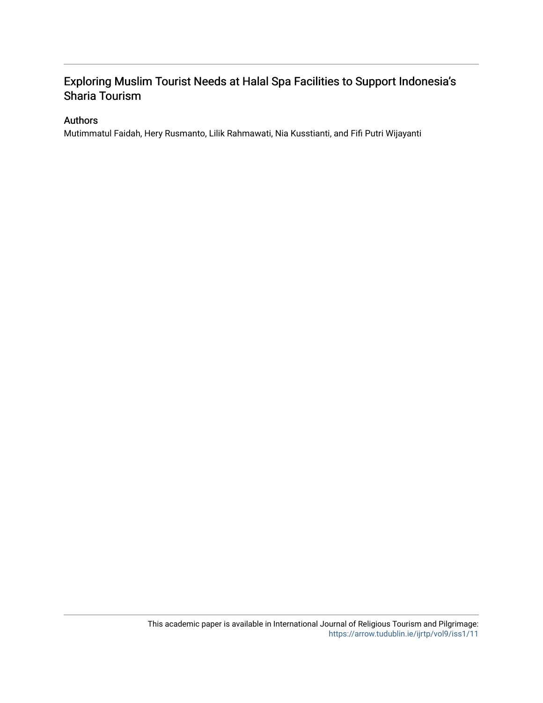# Exploring Muslim Tourist Needs at Halal Spa Facilities to Support Indonesia's Sharia Tourism

# Authors

Mutimmatul Faidah, Hery Rusmanto, Lilik Rahmawati, Nia Kusstianti, and Fifi Putri Wijayanti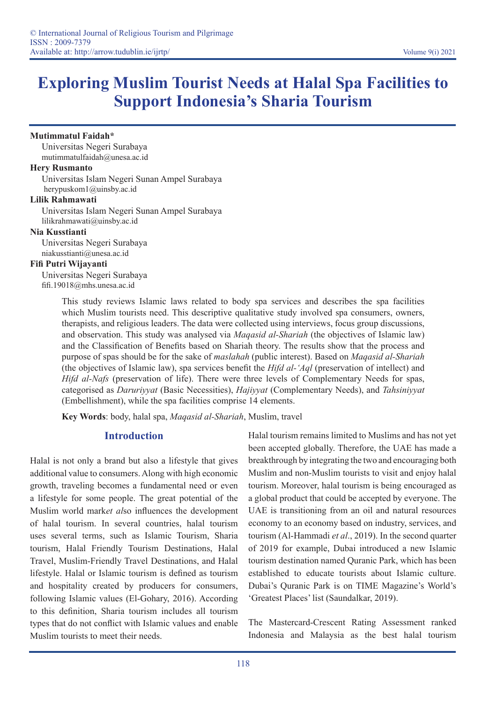# **Exploring Muslim Tourist Needs at Halal Spa Facilities to Support Indonesia's Sharia Tourism**

#### **Mutimmatul Faidah\***

Universitas Negeri Surabaya mutimmatulfaidah@unesa.ac.id

#### **Hery Rusmanto**

Universitas Islam Negeri Sunan Ampel Surabaya herypuskom1@uinsby.ac.id

#### **Lilik Rahmawati**

Universitas Islam Negeri Sunan Ampel Surabaya lilikrahmawati@uinsby.ac.id

#### **Nia Kusstianti**

Universitas Negeri Surabaya niakusstianti@unesa.ac.id

#### **Fifi Putri Wijayanti**

Universitas Negeri Surabaya fifi.19018@mhs.unesa.ac.id

> This study reviews Islamic laws related to body spa services and describes the spa facilities which Muslim tourists need. This descriptive qualitative study involved spa consumers, owners, therapists, and religious leaders. The data were collected using interviews, focus group discussions, and observation. This study was analysed via *Maqasid al-Shariah* (the objectives of Islamic law) and the Classification of Benefits based on Shariah theory. The results show that the process and purpose of spas should be for the sake of *maslahah* (public interest). Based on *Maqasid al-Shariah* (the objectives of Islamic law), spa services benefit the *Hifd al-'Aql* (preservation of intellect) and *Hifd al-Nafs* (preservation of life). There were three levels of Complementary Needs for spas, categorised as *Daruriyyat* (Basic Necessities), *Hajiyyat* (Complementary Needs), and *Tahsiniyyat* (Embellishment), while the spa facilities comprise 14 elements.

**Key Words**: body, halal spa, *Maqasid al-Shariah*, Muslim, travel

# **Introduction**

Halal is not only a brand but also a lifestyle that gives additional value to consumers. Along with high economic growth, traveling becomes a fundamental need or even a lifestyle for some people. The great potential of the Muslim world mark*et al*so influences the development of halal tourism. In several countries, halal tourism uses several terms, such as Islamic Tourism, Sharia tourism, Halal Friendly Tourism Destinations, Halal Travel, Muslim-Friendly Travel Destinations, and Halal lifestyle. Halal or Islamic tourism is defined as tourism and hospitality created by producers for consumers, following Islamic values (El-Gohary, 2016). According to this definition, Sharia tourism includes all tourism types that do not conflict with Islamic values and enable Muslim tourists to meet their needs.

Halal tourism remains limited to Muslims and has not yet been accepted globally. Therefore, the UAE has made a breakthrough by integrating the two and encouraging both Muslim and non-Muslim tourists to visit and enjoy halal tourism. Moreover, halal tourism is being encouraged as a global product that could be accepted by everyone. The UAE is transitioning from an oil and natural resources economy to an economy based on industry, services, and tourism (Al-Hammadi *et al*., 2019). In the second quarter of 2019 for example, Dubai introduced a new Islamic tourism destination named Quranic Park, which has been established to educate tourists about Islamic culture. Dubai's Quranic Park is on TIME Magazine's World's 'Greatest Places' list (Saundalkar, 2019).

The Mastercard-Crescent Rating Assessment ranked Indonesia and Malaysia as the best halal tourism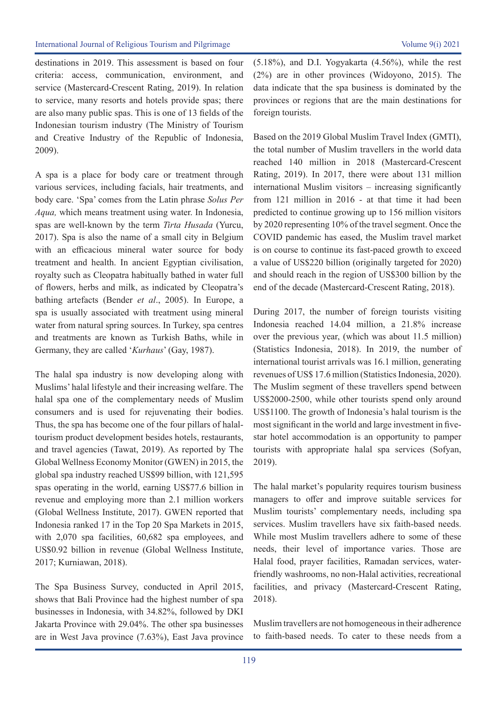destinations in 2019. This assessment is based on four criteria: access, communication, environment, and service (Mastercard-Crescent Rating, 2019). In relation to service, many resorts and hotels provide spas; there are also many public spas. This is one of 13 fields of the Indonesian tourism industry (The Ministry of Tourism and Creative Industry of the Republic of Indonesia, 2009).

A spa is a place for body care or treatment through various services, including facials, hair treatments, and body care. 'Spa' comes from the Latin phrase *Solus Per Aqua,* which means treatment using water. In Indonesia, spas are well-known by the term *Tirta Husada* (Yurcu, 2017). Spa is also the name of a small city in Belgium with an efficacious mineral water source for body treatment and health. In ancient Egyptian civilisation, royalty such as Cleopatra habitually bathed in water full of flowers, herbs and milk, as indicated by Cleopatra's bathing artefacts (Bender *et al*., 2005). In Europe, a spa is usually associated with treatment using mineral water from natural spring sources. In Turkey, spa centres and treatments are known as Turkish Baths, while in Germany, they are called '*Kurhaus*' (Gay, 1987).

The halal spa industry is now developing along with Muslims' halal lifestyle and their increasing welfare. The halal spa one of the complementary needs of Muslim consumers and is used for rejuvenating their bodies. Thus, the spa has become one of the four pillars of halaltourism product development besides hotels, restaurants, and travel agencies (Tawat, 2019). As reported by The Global Wellness Economy Monitor (GWEN) in 2015, the global spa industry reached US\$99 billion, with 121,595 spas operating in the world, earning US\$77.6 billion in revenue and employing more than 2.1 million workers (Global Wellness Institute, 2017). GWEN reported that Indonesia ranked 17 in the Top 20 Spa Markets in 2015, with 2,070 spa facilities, 60,682 spa employees, and US\$0.92 billion in revenue (Global Wellness Institute, 2017; Kurniawan, 2018).

The Spa Business Survey, conducted in April 2015, shows that Bali Province had the highest number of spa businesses in Indonesia, with 34.82%, followed by DKI Jakarta Province with 29.04%. The other spa businesses are in West Java province (7.63%), East Java province

(5.18%), and D.I. Yogyakarta (4.56%), while the rest (2%) are in other provinces (Widoyono, 2015). The data indicate that the spa business is dominated by the provinces or regions that are the main destinations for foreign tourists.

Based on the 2019 Global Muslim Travel Index (GMTI), the total number of Muslim travellers in the world data reached 140 million in 2018 (Mastercard-Crescent Rating, 2019). In 2017, there were about 131 million international Muslim visitors – increasing significantly from 121 million in 2016 - at that time it had been predicted to continue growing up to 156 million visitors by 2020 representing 10% of the travel segment. Once the COVID pandemic has eased, the Muslim travel market is on course to continue its fast-paced growth to exceed a value of US\$220 billion (originally targeted for 2020) and should reach in the region of US\$300 billion by the end of the decade (Mastercard-Crescent Rating, 2018).

During 2017, the number of foreign tourists visiting Indonesia reached 14.04 million, a 21.8% increase over the previous year, (which was about 11.5 million) (Statistics Indonesia, 2018). In 2019, the number of international tourist arrivals was 16.1 million, generating revenues of US\$ 17.6 million (Statistics Indonesia, 2020). The Muslim segment of these travellers spend between US\$2000-2500, while other tourists spend only around US\$1100. The growth of Indonesia's halal tourism is the most significant in the world and large investment in fivestar hotel accommodation is an opportunity to pamper tourists with appropriate halal spa services (Sofyan, 2019).

The halal market's popularity requires tourism business managers to offer and improve suitable services for Muslim tourists' complementary needs, including spa services. Muslim travellers have six faith-based needs. While most Muslim travellers adhere to some of these needs, their level of importance varies. Those are Halal food, prayer facilities, Ramadan services, waterfriendly washrooms, no non-Halal activities, recreational facilities, and privacy (Mastercard-Crescent Rating, 2018).

Muslim travellers are not homogeneous in their adherence to faith-based needs. To cater to these needs from a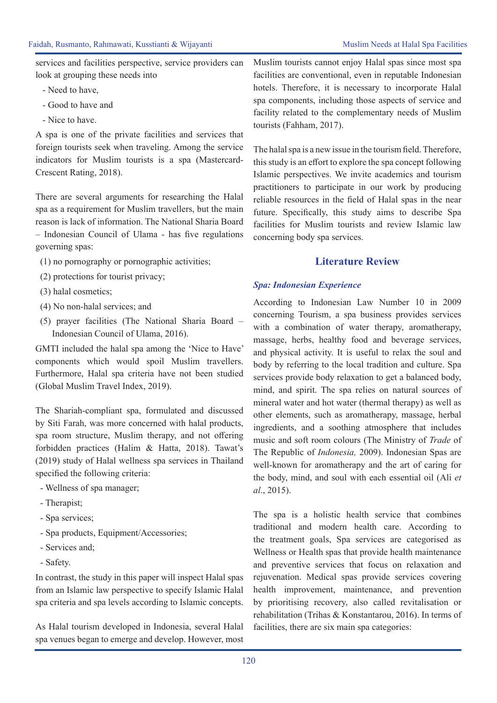services and facilities perspective, service providers can look at grouping these needs into

- Need to have,
- Good to have and
- Nice to have.

A spa is one of the private facilities and services that foreign tourists seek when traveling. Among the service indicators for Muslim tourists is a spa (Mastercard-Crescent Rating, 2018).

There are several arguments for researching the Halal spa as a requirement for Muslim travellers, but the main reason is lack of information. The National Sharia Board – Indonesian Council of Ulama - has five regulations governing spas:

- (1) no pornography or pornographic activities;
- (2) protections for tourist privacy;
- (3) halal cosmetics;
- (4) No non-halal services; and
- (5) prayer facilities (The National Sharia Board Indonesian Council of Ulama, 2016).

GMTI included the halal spa among the 'Nice to Have' components which would spoil Muslim travellers. Furthermore, Halal spa criteria have not been studied (Global Muslim Travel Index, 2019).

The Shariah-compliant spa, formulated and discussed by Siti Farah, was more concerned with halal products, spa room structure, Muslim therapy, and not offering forbidden practices (Halim & Hatta, 2018). Tawat's (2019) study of Halal wellness spa services in Thailand specified the following criteria:

- Wellness of spa manager;
- Therapist;
- Spa services;
- Spa products, Equipment/Accessories;
- Services and;
- Safety.

In contrast, the study in this paper will inspect Halal spas from an Islamic law perspective to specify Islamic Halal spa criteria and spa levels according to Islamic concepts.

As Halal tourism developed in Indonesia, several Halal spa venues began to emerge and develop. However, most Muslim tourists cannot enjoy Halal spas since most spa facilities are conventional, even in reputable Indonesian hotels. Therefore, it is necessary to incorporate Halal spa components, including those aspects of service and facility related to the complementary needs of Muslim tourists (Fahham, 2017).

The halal spa is a new issue in the tourism field. Therefore, this study is an effort to explore the spa concept following Islamic perspectives. We invite academics and tourism practitioners to participate in our work by producing reliable resources in the field of Halal spas in the near future. Specifically, this study aims to describe Spa facilities for Muslim tourists and review Islamic law concerning body spa services.

# **Literature Review**

#### *Spa: Indonesian Experience*

According to Indonesian Law Number 10 in 2009 concerning Tourism, a spa business provides services with a combination of water therapy, aromatherapy, massage, herbs, healthy food and beverage services, and physical activity. It is useful to relax the soul and body by referring to the local tradition and culture. Spa services provide body relaxation to get a balanced body, mind, and spirit. The spa relies on natural sources of mineral water and hot water (thermal therapy) as well as other elements, such as aromatherapy, massage, herbal ingredients, and a soothing atmosphere that includes music and soft room colours (The Ministry of *Trade* of The Republic of *Indonesia,* 2009). Indonesian Spas are well-known for aromatherapy and the art of caring for the body, mind, and soul with each essential oil (Ali *et al*., 2015).

The spa is a holistic health service that combines traditional and modern health care. According to the treatment goals, Spa services are categorised as Wellness or Health spas that provide health maintenance and preventive services that focus on relaxation and rejuvenation. Medical spas provide services covering health improvement, maintenance, and prevention by prioritising recovery, also called revitalisation or rehabilitation (Trihas & Konstantarou, 2016). In terms of facilities, there are six main spa categories: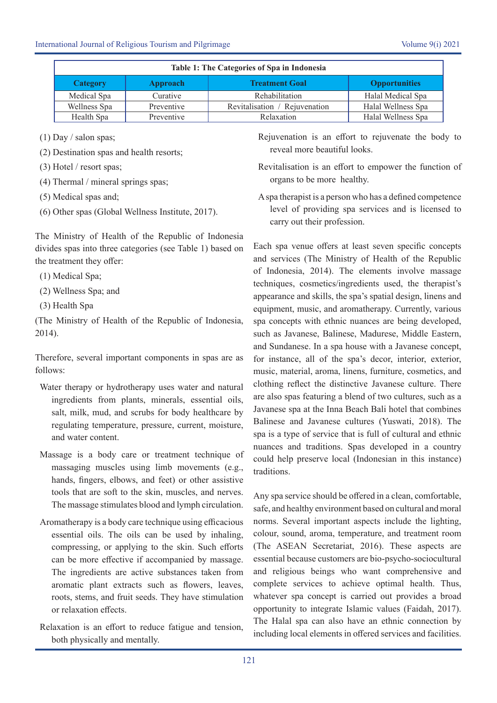| Table 1: The Categories of Spa in Indonesia |                 |                               |                      |  |
|---------------------------------------------|-----------------|-------------------------------|----------------------|--|
| Category                                    | <b>Approach</b> | <b>Treatment Goal</b>         | <b>Opportunities</b> |  |
| Medical Spa                                 | Curative        | Rehabilitation                | Halal Medical Spa    |  |
| Wellness Spa                                | Preventive      | Revitalisation / Rejuvenation | Halal Wellness Spa   |  |
| Health Spa                                  | Preventive      | Relaxation                    | Halal Wellness Spa   |  |

- (1) Day / salon spas;
- (2) Destination spas and health resorts;
- (3) Hotel / resort spas;
- (4) Thermal / mineral springs spas;
- (5) Medical spas and;
- (6) Other spas (Global Wellness Institute, 2017).

The Ministry of Health of the Republic of Indonesia divides spas into three categories (see Table 1) based on the treatment they offer:

- (1) Medical Spa;
- (2) Wellness Spa; and
- (3) Health Spa

(The Ministry of Health of the Republic of Indonesia, 2014).

Therefore, several important components in spas are as follows:

- Water therapy or hydrotherapy uses water and natural ingredients from plants, minerals, essential oils, salt, milk, mud, and scrubs for body healthcare by regulating temperature, pressure, current, moisture, and water content.
- Massage is a body care or treatment technique of massaging muscles using limb movements (e.g., hands, fingers, elbows, and feet) or other assistive tools that are soft to the skin, muscles, and nerves. The massage stimulates blood and lymph circulation.
- Aromatherapy is a body care technique using efficacious essential oils. The oils can be used by inhaling, compressing, or applying to the skin. Such efforts can be more effective if accompanied by massage. The ingredients are active substances taken from aromatic plant extracts such as flowers, leaves, roots, stems, and fruit seeds. They have stimulation or relaxation effects.
- Relaxation is an effort to reduce fatigue and tension, both physically and mentally.

Rejuvenation is an effort to rejuvenate the body to reveal more beautiful looks.

- Revitalisation is an effort to empower the function of organs to be more healthy.
- A spa therapist is a person who has a defined competence level of providing spa services and is licensed to carry out their profession.

Each spa venue offers at least seven specific concepts and services (The Ministry of Health of the Republic of Indonesia, 2014). The elements involve massage techniques, cosmetics/ingredients used, the therapist's appearance and skills, the spa's spatial design, linens and equipment, music, and aromatherapy. Currently, various spa concepts with ethnic nuances are being developed, such as Javanese, Balinese, Madurese, Middle Eastern, and Sundanese. In a spa house with a Javanese concept, for instance, all of the spa's decor, interior, exterior, music, material, aroma, linens, furniture, cosmetics, and clothing reflect the distinctive Javanese culture. There are also spas featuring a blend of two cultures, such as a Javanese spa at the Inna Beach Bali hotel that combines Balinese and Javanese cultures (Yuswati, 2018). The spa is a type of service that is full of cultural and ethnic nuances and traditions. Spas developed in a country could help preserve local (Indonesian in this instance) traditions.

Any spa service should be offered in a clean, comfortable, safe, and healthy environment based on cultural and moral norms. Several important aspects include the lighting, colour, sound, aroma, temperature, and treatment room (The ASEAN Secretariat, 2016). These aspects are essential because customers are bio-psycho-sociocultural and religious beings who want comprehensive and complete services to achieve optimal health. Thus, whatever spa concept is carried out provides a broad opportunity to integrate Islamic values (Faidah, 2017). The Halal spa can also have an ethnic connection by including local elements in offered services and facilities.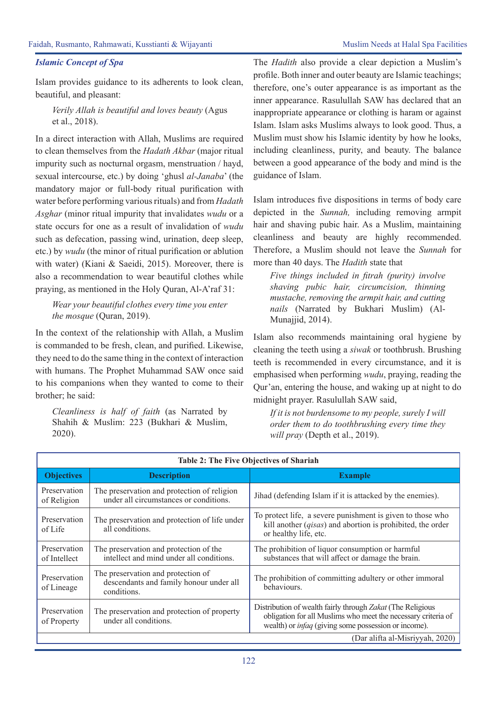#### *Islamic Concept of Spa*

Islam provides guidance to its adherents to look clean, beautiful, and pleasant:

*Verily Allah is beautiful and loves beauty* (Agus et al., 2018).

In a direct interaction with Allah, Muslims are required to clean themselves from the *Hadath Akbar* (major ritual impurity such as nocturnal orgasm, menstruation / hayd, sexual intercourse, etc.) by doing 'ghusl *al-Janaba*' (the mandatory major or full-body ritual purification with water before performing various rituals) and from *Hadath Asghar* (minor ritual impurity that invalidates *wudu* or a state occurs for one as a result of invalidation of *wudu* such as defecation, passing wind, urination, deep sleep, etc.) by *wudu* (the minor of ritual purification or ablution with water) (Kiani & Saeidi, 2015). Moreover, there is also a recommendation to wear beautiful clothes while praying, as mentioned in the Holy Quran, Al-A'raf 31:

*Wear your beautiful clothes every time you enter the mosque* (Quran, 2019).

In the context of the relationship with Allah, a Muslim is commanded to be fresh, clean, and purified. Likewise, they need to do the same thing in the context of interaction with humans. The Prophet Muhammad SAW once said to his companions when they wanted to come to their brother; he said:

*Cleanliness is half of faith* (as Narrated by Shahih & Muslim: 223 (Bukhari & Muslim, 2020).

The *Hadith* also provide a clear depiction a Muslim's profile. Both inner and outer beauty are Islamic teachings; therefore, one's outer appearance is as important as the inner appearance. Rasulullah SAW has declared that an inappropriate appearance or clothing is haram or against Islam. Islam asks Muslims always to look good. Thus, a Muslim must show his Islamic identity by how he looks, including cleanliness, purity, and beauty. The balance between a good appearance of the body and mind is the guidance of Islam.

Islam introduces five dispositions in terms of body care depicted in the *Sunnah,* including removing armpit hair and shaving pubic hair. As a Muslim, maintaining cleanliness and beauty are highly recommended. Therefore, a Muslim should not leave the *Sunnah* for more than 40 days. The *Hadith* state that

*Five things included in fitrah (purity) involve shaving pubic hair, circumcision, thinning mustache, removing the armpit hair, and cutting nails* (Narrated by Bukhari Muslim) (Al-Munajjid, 2014).

Islam also recommends maintaining oral hygiene by cleaning the teeth using a *siwak* or toothbrush. Brushing teeth is recommended in every circumstance, and it is emphasised when performing *wudu*, praying, reading the Qur'an, entering the house, and waking up at night to do midnight prayer. Rasulullah SAW said,

*If it is not burdensome to my people, surely I will order them to do toothbrushing every time they will pray* (Depth et al., 2019).

| <b>Table 2: The Five Objectives of Shariah</b> |                                                                                              |                                                                                                                                                                                            |  |  |
|------------------------------------------------|----------------------------------------------------------------------------------------------|--------------------------------------------------------------------------------------------------------------------------------------------------------------------------------------------|--|--|
| <b>Objectives</b>                              | <b>Description</b>                                                                           | <b>Example</b>                                                                                                                                                                             |  |  |
| Preservation<br>of Religion                    | The preservation and protection of religion<br>under all circumstances or conditions.        | Jihad (defending Islam if it is attacked by the enemies).                                                                                                                                  |  |  |
| Preservation<br>of Life                        | The preservation and protection of life under<br>all conditions.                             | To protect life, a severe punishment is given to those who<br>kill another $(qisas)$ and abortion is prohibited, the order<br>or healthy life, etc.                                        |  |  |
| Preservation<br>of Intellect                   | The preservation and protection of the<br>intellect and mind under all conditions.           | The prohibition of liquor consumption or harmful<br>substances that will affect or damage the brain.                                                                                       |  |  |
| Preservation<br>of Lineage                     | The preservation and protection of<br>descendants and family honour under all<br>conditions. | The prohibition of committing adultery or other immoral<br>behaviours.                                                                                                                     |  |  |
| Preservation<br>of Property                    | The preservation and protection of property<br>under all conditions.                         | Distribution of wealth fairly through Zakat (The Religious<br>obligation for all Muslims who meet the necessary criteria of<br>wealth) or <i>infaq</i> (giving some possession or income). |  |  |
| (Dar alifta al-Misriyyah, 2020)                |                                                                                              |                                                                                                                                                                                            |  |  |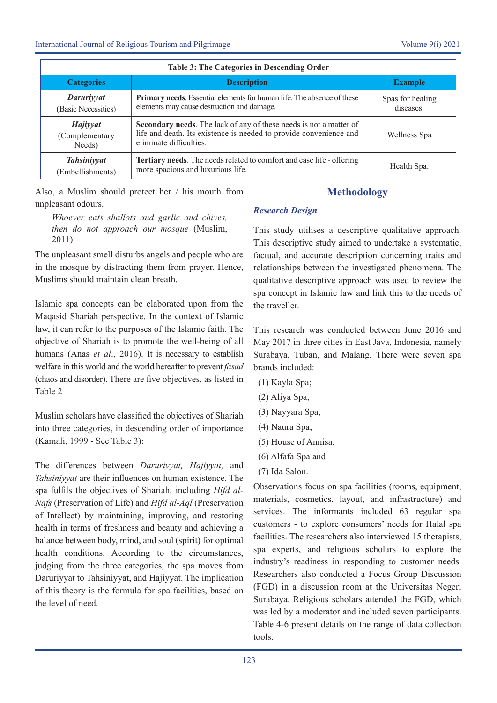| <b>Table 3: The Categories in Descending Order</b> |                                                                                                                                                                     |                               |  |
|----------------------------------------------------|---------------------------------------------------------------------------------------------------------------------------------------------------------------------|-------------------------------|--|
| <b>Categories</b>                                  | <b>Description</b>                                                                                                                                                  | <b>Example</b>                |  |
| Daruriyyat<br>(Basic Necessities)                  | <b>Primary needs.</b> Essential elements for human life. The absence of these<br>elements may cause destruction and damage.                                         | Spas for healing<br>diseases. |  |
| Hajiyyat<br>(Complementary<br>Needs)               | Secondary needs. The lack of any of these needs is not a matter of<br>life and death. Its existence is needed to provide convenience and<br>eliminate difficulties. | Wellness Spa                  |  |
| <b>Tahsiniyyat</b><br>(Embellishments)             | Tertiary needs. The needs related to comfort and ease life - offering<br>more spacious and luxurious life.                                                          | Health Spa.                   |  |

Also, a Muslim should protect her / his mouth from unpleasant odours.

# **Methodology**

*Whoever eats shallots and garlic and chives, then do not approach our mosque* (Muslim, 2011).

The unpleasant smell disturbs angels and people who are in the mosque by distracting them from prayer. Hence, Muslims should maintain clean breath.

Islamic spa concepts can be elaborated upon from the Maqasid Shariah perspective. In the context of Islamic law, it can refer to the purposes of the Islamic faith. The objective of Shariah is to promote the well-being of all humans (Anas *et al*., 2016). It is necessary to establish welfare in this world and the world hereafter to prevent *fasad* (chaos and disorder). There are five objectives, as listed in Table 2

Muslim scholars have classified the objectives of Shariah into three categories, in descending order of importance (Kamali, 1999 - See Table 3):

The differences between *Daruriyyat, Hajiyyat,* and *Tahsiniyyat* are their influences on human existence. The spa fulfils the objectives of Shariah, including *Hifd al-Nafs* (Preservation of Life) and *Hifd al-Aql* (Preservation of Intellect) by maintaining, improving, and restoring health in terms of freshness and beauty and achieving a balance between body, mind, and soul (spirit) for optimal health conditions. According to the circumstances, judging from the three categories, the spa moves from Daruriyyat to Tahsiniyyat, and Hajiyyat. The implication of this theory is the formula for spa facilities, based on the level of need.

# *Research Design*

This study utilises a descriptive qualitative approach. This descriptive study aimed to undertake a systematic, factual, and accurate description concerning traits and relationships between the investigated phenomena. The qualitative descriptive approach was used to review the spa concept in Islamic law and link this to the needs of the traveller.

This research was conducted between June 2016 and May 2017 in three cities in East Java, Indonesia, namely Surabaya, Tuban, and Malang. There were seven spa brands included:

- (1) Kayla Spa;
- (2) Aliya Spa;
- (3) Nayyara Spa;
- (4) Naura Spa;
- (5) House of Annisa;
- (6) Alfafa Spa and
- (7) Ida Salon.

Observations focus on spa facilities (rooms, equipment, materials, cosmetics, layout, and infrastructure) and services. The informants included 63 regular spa customers - to explore consumers' needs for Halal spa facilities. The researchers also interviewed 15 therapists, spa experts, and religious scholars to explore the industry's readiness in responding to customer needs. Researchers also conducted a Focus Group Discussion (FGD) in a discussion room at the Universitas Negeri Surabaya. Religious scholars attended the FGD, which was led by a moderator and included seven participants. Table 4-6 present details on the range of data collection tools.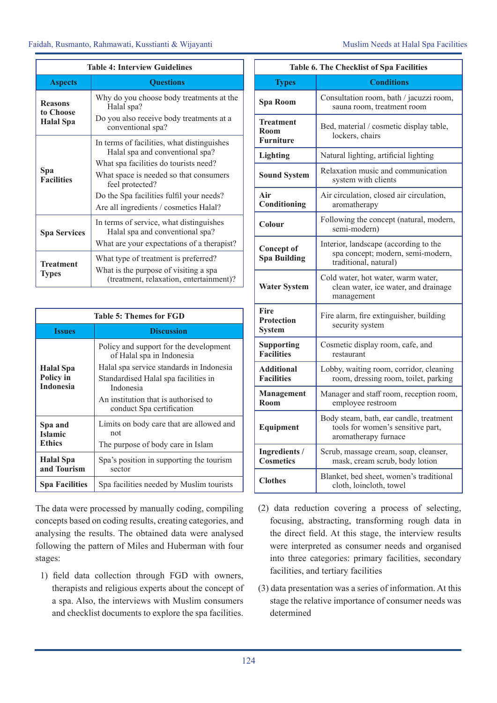| <b>Table 4: Interview Guidelines</b>                                                                                                            |                                                                                                                                                                                                                                                                           |  |
|-------------------------------------------------------------------------------------------------------------------------------------------------|---------------------------------------------------------------------------------------------------------------------------------------------------------------------------------------------------------------------------------------------------------------------------|--|
| <b>Ouestions</b><br><b>Aspects</b>                                                                                                              |                                                                                                                                                                                                                                                                           |  |
| <b>Reasons</b><br>to Choose<br><b>Halal</b> Spa                                                                                                 | Why do you choose body treatments at the<br>Halal spa?<br>Do you also receive body treatments at a<br>conventional spa?                                                                                                                                                   |  |
| Spa<br><b>Facilities</b>                                                                                                                        | In terms of facilities, what distinguishes<br>Halal spa and conventional spa?<br>What spa facilities do tourists need?<br>What space is needed so that consumers<br>feel protected?<br>Do the Spa facilities fulfil your needs?<br>Are all ingredients / cosmetics Halal? |  |
| In terms of service, what distinguishes<br>Halal spa and conventional spa?<br><b>Spa Services</b><br>What are your expectations of a therapist? |                                                                                                                                                                                                                                                                           |  |
| <b>Treatment</b><br><b>Types</b>                                                                                                                | What type of treatment is preferred?<br>What is the purpose of visiting a spa<br>(treatment, relaxation, entertainment)?                                                                                                                                                  |  |

| <b>Table 5: Themes for FGD</b>                    |                                                                                                                                                                                                                                           |  |
|---------------------------------------------------|-------------------------------------------------------------------------------------------------------------------------------------------------------------------------------------------------------------------------------------------|--|
| <b>Issues</b>                                     | <b>Discussion</b>                                                                                                                                                                                                                         |  |
| <b>Halal</b> Spa<br>Policy in<br><b>Indonesia</b> | Policy and support for the development<br>of Halal spa in Indonesia<br>Halal spa service standards in Indonesia<br>Standardised Halal spa facilities in<br>Indonesia<br>An institution that is authorised to<br>conduct Spa certification |  |
| Spa and<br><b>Islamic</b><br><b>Ethics</b>        | Limits on body care that are allowed and<br>not<br>The purpose of body care in Islam                                                                                                                                                      |  |
| <b>Halal</b> Spa<br>and Tourism                   | Spa's position in supporting the tourism<br>sector                                                                                                                                                                                        |  |
| <b>Spa Facilities</b>                             | Spa facilities needed by Muslim tourists                                                                                                                                                                                                  |  |

The data were processed by manually coding, compiling concepts based on coding results, creating categories, and analysing the results. The obtained data were analysed following the pattern of Miles and Huberman with four stages:

1) field data collection through FGD with owners, therapists and religious experts about the concept of a spa. Also, the interviews with Muslim consumers and checklist documents to explore the spa facilities.

| <b>Table 6. The Checklist of Spa Facilities</b> |                                                                                                      |  |
|-------------------------------------------------|------------------------------------------------------------------------------------------------------|--|
| <b>Types</b>                                    | <b>Conditions</b>                                                                                    |  |
| <b>Spa Room</b>                                 | Consultation room, bath / jacuzzi room,<br>sauna room, treatment room                                |  |
| <b>Treatment</b><br>Room<br><b>Furniture</b>    | Bed, material / cosmetic display table,<br>lockers, chairs                                           |  |
| <b>Lighting</b>                                 | Natural lighting, artificial lighting                                                                |  |
| <b>Sound System</b>                             | Relaxation music and communication<br>system with clients                                            |  |
| Air<br>Conditioning                             | Air circulation, closed air circulation,<br>aromatherapy                                             |  |
| Colour                                          | Following the concept (natural, modern,<br>semi-modern)                                              |  |
| <b>Concept of</b><br><b>Spa Building</b>        | Interior, landscape (according to the<br>spa concept; modern, semi-modern,<br>traditional, natural)  |  |
| <b>Water System</b>                             | Cold water, hot water, warm water,<br>clean water, ice water, and drainage<br>management             |  |
| Fire<br><b>Protection</b><br><b>System</b>      | Fire alarm, fire extinguisher, building<br>security system                                           |  |
| <b>Supporting</b><br><b>Facilities</b>          | Cosmetic display room, cafe, and<br>restaurant                                                       |  |
| <b>Additional</b><br><b>Facilities</b>          | Lobby, waiting room, corridor, cleaning<br>room, dressing room, toilet, parking                      |  |
| <b>Management</b><br>Room                       | Manager and staff room, reception room,<br>employee restroom                                         |  |
| Equipment                                       | Body steam, bath, ear candle, treatment<br>tools for women's sensitive part,<br>aromatherapy furnace |  |
| Ingredients /<br><b>Cosmetics</b>               | Scrub, massage cream, soap, cleanser,<br>mask, cream scrub, body lotion                              |  |
| <b>Clothes</b>                                  | Blanket, bed sheet, women's traditional<br>cloth, loincloth, towel                                   |  |

- (2) data reduction covering a process of selecting, focusing, abstracting, transforming rough data in the direct field. At this stage, the interview results were interpreted as consumer needs and organised into three categories: primary facilities, secondary facilities, and tertiary facilities
- (3) data presentation was a series of information. At this stage the relative importance of consumer needs was determined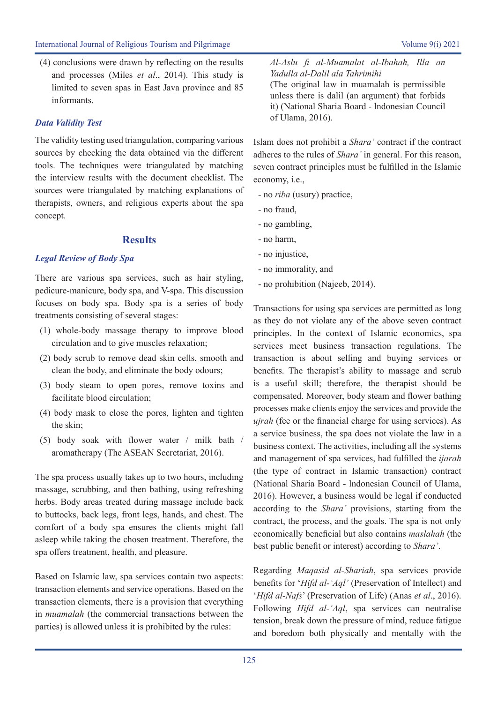(4) conclusions were drawn by reflecting on the results and processes (Miles *et al*., 2014). This study is limited to seven spas in East Java province and 85 informants.

# *Data Validity Test*

The validity testing used triangulation, comparing various sources by checking the data obtained via the different tools. The techniques were triangulated by matching the interview results with the document checklist. The sources were triangulated by matching explanations of therapists, owners, and religious experts about the spa concept.

# **Results**

# *Legal Review of Body Spa*

There are various spa services, such as hair styling, pedicure-manicure, body spa, and V-spa. This discussion focuses on body spa. Body spa is a series of body treatments consisting of several stages:

- (1) whole-body massage therapy to improve blood circulation and to give muscles relaxation;
- (2) body scrub to remove dead skin cells, smooth and clean the body, and eliminate the body odours;
- (3) body steam to open pores, remove toxins and facilitate blood circulation;
- (4) body mask to close the pores, lighten and tighten the skin;
- (5) body soak with flower water / milk bath / aromatherapy (The ASEAN Secretariat, 2016).

The spa process usually takes up to two hours, including massage, scrubbing, and then bathing, using refreshing herbs. Body areas treated during massage include back to buttocks, back legs, front legs, hands, and chest. The comfort of a body spa ensures the clients might fall asleep while taking the chosen treatment. Therefore, the spa offers treatment, health, and pleasure.

Based on Islamic law, spa services contain two aspects: transaction elements and service operations. Based on the transaction elements, there is a provision that everything in *muamalah* (the commercial transactions between the parties) is allowed unless it is prohibited by the rules:

*Al-Aslu fi al-Muamalat al-Ibahah, Illa an Yadulla al-Dalil ala Tahrimihi* 

(The original law in muamalah is permissible unless there is dalil (an argument) that forbids it) (National Sharia Board - lndonesian Council of Ulama, 2016).

Islam does not prohibit a *Shara'* contract if the contract adheres to the rules of *Shara'* in general. For this reason, seven contract principles must be fulfilled in the Islamic economy, i.e.,

- no *riba* (usury) practice,
- no fraud,
- no gambling,
- no harm,
- no injustice,
- no immorality, and
- no prohibition (Najeeb, 2014).

Transactions for using spa services are permitted as long as they do not violate any of the above seven contract principles. In the context of Islamic economics, spa services meet business transaction regulations. The transaction is about selling and buying services or benefits. The therapist's ability to massage and scrub is a useful skill; therefore, the therapist should be compensated. Moreover, body steam and flower bathing processes make clients enjoy the services and provide the *ujrah* (fee or the financial charge for using services). As a service business, the spa does not violate the law in a business context. The activities, including all the systems and management of spa services, had fulfilled the *ijarah*  (the type of contract in Islamic transaction) contract (National Sharia Board - lndonesian Council of Ulama, 2016). However, a business would be legal if conducted according to the *Shara'* provisions, starting from the contract, the process, and the goals. The spa is not only economically beneficial but also contains *maslahah* (the best public benefit or interest) according to *Shara'*.

Regarding *Maqasid al-Shariah*, spa services provide benefits for '*Hifd al-'Aql'* (Preservation of Intellect) and '*Hifd al-Nafs*' (Preservation of Life) (Anas *et al*., 2016). Following *Hifd al-'Aql*, spa services can neutralise tension, break down the pressure of mind, reduce fatigue and boredom both physically and mentally with the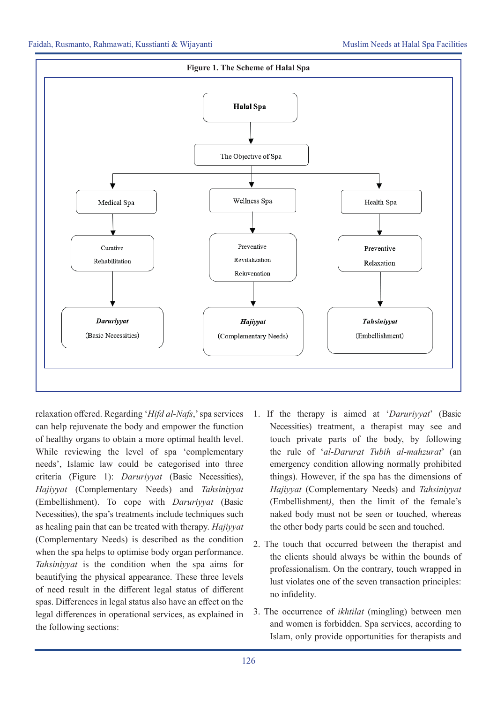

relaxation offered. Regarding '*Hifd al-Nafs*,' spa services can help rejuvenate the body and empower the function of healthy organs to obtain a more optimal health level. While reviewing the level of spa 'complementary needs', Islamic law could be categorised into three criteria (Figure 1): *Daruriyyat* (Basic Necessities), *Hajiyyat* (Complementary Needs) and *Tahsiniyyat* (Embellishment). To cope with *Daruriyyat* (Basic Necessities), the spa's treatments include techniques such as healing pain that can be treated with therapy. *Hajiyyat* (Complementary Needs) is described as the condition when the spa helps to optimise body organ performance. *Tahsiniyyat* is the condition when the spa aims for beautifying the physical appearance. These three levels of need result in the different legal status of different spas. Differences in legal status also have an effect on the legal differences in operational services, as explained in the following sections:

- 1. If the therapy is aimed at '*Daruriyyat*' (Basic Necessities) treatment, a therapist may see and touch private parts of the body, by following the rule of '*al-Darurat Tubih al-mahzurat*' (an emergency condition allowing normally prohibited things). However, if the spa has the dimensions of *Hajiyyat* (Complementary Needs) and *Tahsiniyyat*  (Embellishment*)*, then the limit of the female's naked body must not be seen or touched, whereas the other body parts could be seen and touched.
- 2. The touch that occurred between the therapist and the clients should always be within the bounds of professionalism. On the contrary, touch wrapped in lust violates one of the seven transaction principles: no infidelity.
- 3. The occurrence of *ikhtilat* (mingling) between men and women is forbidden. Spa services, according to Islam, only provide opportunities for therapists and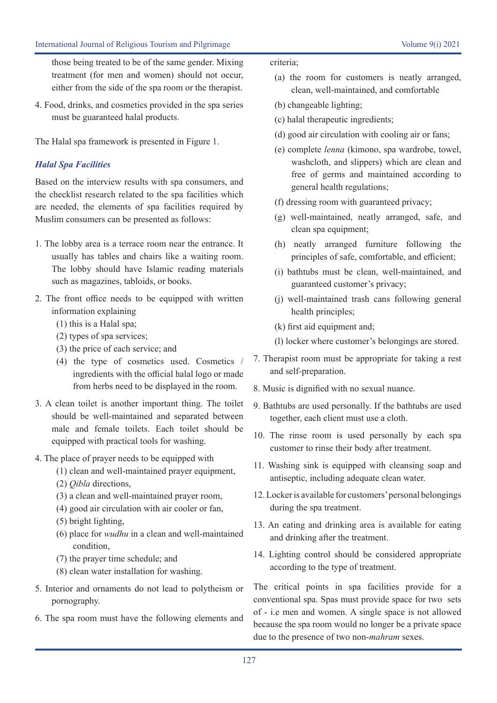those being treated to be of the same gender. Mixing treatment (for men and women) should not occur, either from the side of the spa room or the therapist.

4. Food, drinks, and cosmetics provided in the spa series must be guaranteed halal products.

The Halal spa framework is presented in Figure 1.

# *Halal Spa Facilities*

Based on the interview results with spa consumers, and the checklist research related to the spa facilities which are needed, the elements of spa facilities required by Muslim consumers can be presented as follows:

- 1. The lobby area is a terrace room near the entrance. It usually has tables and chairs like a waiting room. The lobby should have Islamic reading materials such as magazines, tabloids, or books.
- 2. The front office needs to be equipped with written information explaining
	- (1) this is a Halal spa;
	- (2) types of spa services;
	- (3) the price of each service; and
	- (4) the type of cosmetics used. Cosmetics / ingredients with the official halal logo or made from herbs need to be displayed in the room.
- 3. A clean toilet is another important thing. The toilet should be well-maintained and separated between male and female toilets. Each toilet should be equipped with practical tools for washing.
- 4. The place of prayer needs to be equipped with
	- (1) clean and well-maintained prayer equipment,
	- (2) *Qibla* directions,
	- (3) a clean and well-maintained prayer room,
	- (4) good air circulation with air cooler or fan,
	- (5) bright lighting,
	- (6) place for *wudhu* in a clean and well-maintained condition,
	- (7) the prayer time schedule; and
	- (8) clean water installation for washing.
- 5. Interior and ornaments do not lead to polytheism or pornography.
- 6. The spa room must have the following elements and

#### criteria;

- (a) the room for customers is neatly arranged, clean, well-maintained, and comfortable
- (b) changeable lighting;
- (c) halal therapeutic ingredients;
- (d) good air circulation with cooling air or fans;
- (e) complete *lenna* (kimono, spa wardrobe, towel, washcloth, and slippers) which are clean and free of germs and maintained according to general health regulations;
- (f) dressing room with guaranteed privacy;
- (g) well-maintained, neatly arranged, safe, and clean spa equipment;
- (h) neatly arranged furniture following the principles of safe, comfortable, and efficient;
- (i) bathtubs must be clean, well-maintained, and guaranteed customer's privacy;
- (j) well-maintained trash cans following general health principles;
- (k) first aid equipment and;
- (l) locker where customer's belongings are stored.
- 7. Therapist room must be appropriate for taking a rest and self-preparation.
- 8. Music is dignified with no sexual nuance.
- 9. Bathtubs are used personally. If the bathtubs are used together, each client must use a cloth.
- 10. The rinse room is used personally by each spa customer to rinse their body after treatment.
- 11. Washing sink is equipped with cleansing soap and antiseptic, including adequate clean water.
- 12. Locker is available for customers' personal belongings during the spa treatment.
- 13. An eating and drinking area is available for eating and drinking after the treatment.
- 14. Lighting control should be considered appropriate according to the type of treatment.

The critical points in spa facilities provide for a conventional spa. Spas must provide space for two sets of - i.e men and women. A single space is not allowed because the spa room would no longer be a private space due to the presence of two non-*mahram* sexes.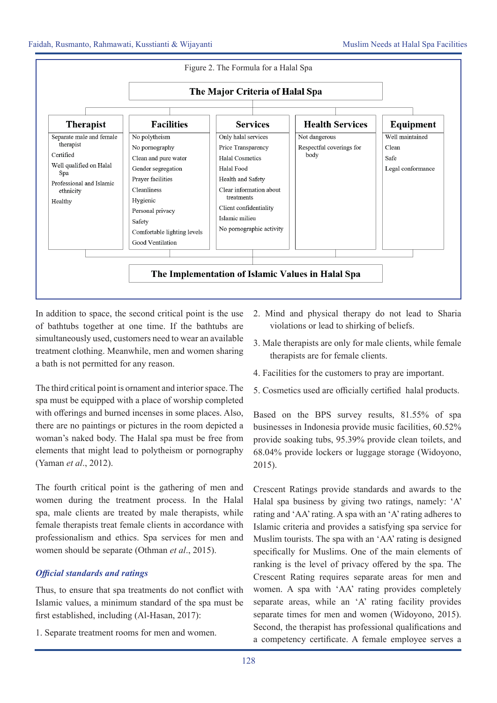

In addition to space, the second critical point is the use of bathtubs together at one time. If the bathtubs are simultaneously used, customers need to wear an available treatment clothing. Meanwhile, men and women sharing a bath is not permitted for any reason.

The third critical point is ornament and interior space. The spa must be equipped with a place of worship completed with offerings and burned incenses in some places. Also, there are no paintings or pictures in the room depicted a woman's naked body. The Halal spa must be free from elements that might lead to polytheism or pornography (Yaman *et al*., 2012).

The fourth critical point is the gathering of men and women during the treatment process. In the Halal spa, male clients are treated by male therapists, while female therapists treat female clients in accordance with professionalism and ethics. Spa services for men and women should be separate (Othman *et al*., 2015).

# *Official standards and ratings*

Thus, to ensure that spa treatments do not conflict with Islamic values, a minimum standard of the spa must be first established, including (Al-Hasan, 2017):

1. Separate treatment rooms for men and women.

- 2. Mind and physical therapy do not lead to Sharia violations or lead to shirking of beliefs.
- 3. Male therapists are only for male clients, while female therapists are for female clients.
- 4. Facilities for the customers to pray are important.
- 5. Cosmetics used are officially certified halal products.

Based on the BPS survey results, 81.55% of spa businesses in Indonesia provide music facilities, 60.52% provide soaking tubs, 95.39% provide clean toilets, and 68.04% provide lockers or luggage storage (Widoyono, 2015).

Crescent Ratings provide standards and awards to the Halal spa business by giving two ratings, namely: 'A' rating and 'AA' rating. A spa with an 'A' rating adheres to Islamic criteria and provides a satisfying spa service for Muslim tourists. The spa with an 'AA' rating is designed specifically for Muslims. One of the main elements of ranking is the level of privacy offered by the spa. The Crescent Rating requires separate areas for men and women. A spa with 'AA' rating provides completely separate areas, while an 'A' rating facility provides separate times for men and women (Widoyono, 2015). Second, the therapist has professional qualifications and a competency certificate. A female employee serves a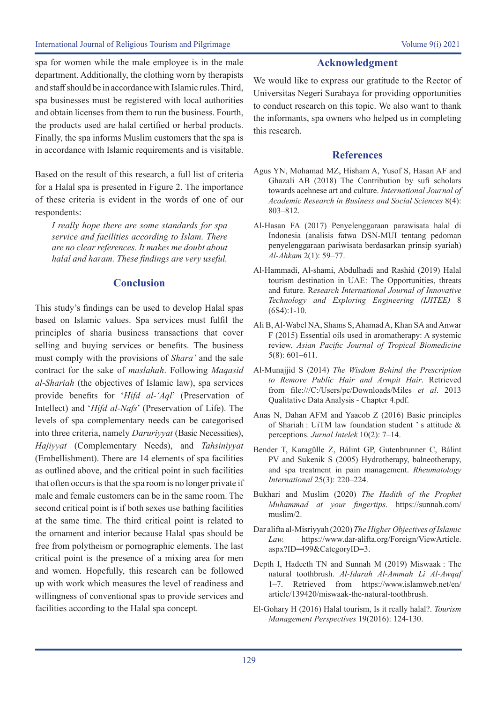spa for women while the male employee is in the male department. Additionally, the clothing worn by therapists and staff should be in accordance with Islamic rules. Third, spa businesses must be registered with local authorities and obtain licenses from them to run the business. Fourth, the products used are halal certified or herbal products. Finally, the spa informs Muslim customers that the spa is in accordance with Islamic requirements and is visitable.

Based on the result of this research, a full list of criteria for a Halal spa is presented in Figure 2. The importance of these criteria is evident in the words of one of our respondents:

*I really hope there are some standards for spa service and facilities according to Islam. There are no clear references. It makes me doubt about halal and haram. These findings are very useful.*

### **Conclusion**

This study's findings can be used to develop Halal spas based on Islamic values. Spa services must fulfil the principles of sharia business transactions that cover selling and buying services or benefits. The business must comply with the provisions of *Shara'* and the sale contract for the sake of *maslahah*. Following *Maqasid al-Shariah* (the objectives of Islamic law), spa services provide benefits for '*Hifd al-'Aql*' (Preservation of Intellect) and '*Hifd al-Nafs*' (Preservation of Life). The levels of spa complementary needs can be categorised into three criteria, namely *Daruriyyat* (Basic Necessities), *Hajiyyat* (Complementary Needs), and *Tahsiniyyat* (Embellishment). There are 14 elements of spa facilities as outlined above, and the critical point in such facilities that often occurs is that the spa room is no longer private if male and female customers can be in the same room. The second critical point is if both sexes use bathing facilities at the same time. The third critical point is related to the ornament and interior because Halal spas should be free from polytheism or pornographic elements. The last critical point is the presence of a mixing area for men and women. Hopefully, this research can be followed up with work which measures the level of readiness and willingness of conventional spas to provide services and facilities according to the Halal spa concept.

# **Acknowledgment**

We would like to express our gratitude to the Rector of Universitas Negeri Surabaya for providing opportunities to conduct research on this topic. We also want to thank the informants, spa owners who helped us in completing this research.

## **References**

- Agus YN, Mohamad MZ, Hisham A, Yusof S, Hasan AF and Ghazali AB (2018) The Contribution by sufi scholars towards acehnese art and culture. *International Journal of Academic Research in Business and Social Sciences* 8(4): 803–812.
- Al-Hasan FA (2017) Penyelenggaraan parawisata halal di Indonesia (analisis fatwa DSN-MUI tentang pedoman penyelenggaraan pariwisata berdasarkan prinsip syariah) *Al-Ahkam* 2(1): 59–77.
- Al-Hammadi, Al-shami, Abdulhadi and Rashid (2019) Halal tourism destination in UAE: The Opportunities, threats and future. R*esearch International Journal of Innovative Technology and Exploring Engineering (IJITEE)* 8  $(6S4):1-10.$
- Ali B, Al-Wabel NA, Shams S, Ahamad A, Khan SA and Anwar F (2015) Essential oils used in aromatherapy: A systemic review. *Asian Pacific Journal of Tropical Biomedicine* 5(8): 601–611.
- Al-Munajjid S (2014) *The Wisdom Behind the Prescription to Remove Public Hair and Armpit Hair*. Retrieved from file:///C:/Users/pc/Downloads/Miles *et al*. 2013 Qualitative Data Analysis - Chapter 4.pdf.
- Anas N, Dahan AFM and Yaacob Z (2016) Basic principles of Shariah : UiTM law foundation student ' s attitude & perceptions. *Jurnal Intelek* 10(2): 7–14.
- Bender T, Karagülle Z, Bálint GP, Gutenbrunner C, Bálint PV and Sukenik S (2005) Hydrotherapy, balneotherapy, and spa treatment in pain management. *Rheumatology International* 25(3): 220–224.
- Bukhari and Muslim (2020) *The Hadith of the Prophet Muhammad at your fingertips*. https://sunnah.com/ muslim/2.
- Dar alifta al-Misriyyah (2020) *The Higher Objectives of Islamic Law.* https://www.dar-alifta.org/Foreign/ViewArticle. aspx?ID=499&CategoryID=3.
- Depth I, Hadeeth TN and Sunnah M (2019) Miswaak : The natural toothbrush. *Al-Idarah Al-Ammah Li Al-Awqaf* 1–7. Retrieved from https://www.islamweb.net/en/ article/139420/miswaak-the-natural-toothbrush.
- El-Gohary H (2016) Halal tourism, Is it really halal?. *Tourism Management Perspectives* 19(2016): 124-130.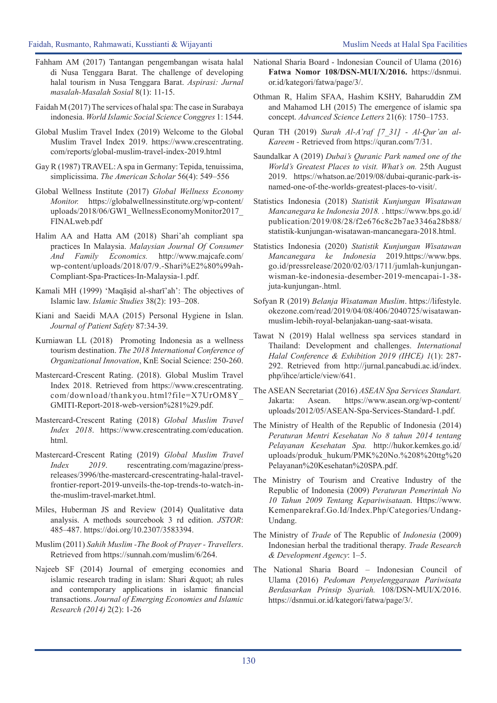- Fahham AM (2017) Tantangan pengembangan wisata halal di Nusa Tenggara Barat. The challenge of developing halal tourism in Nusa Tenggara Barat. *Aspirasi: Jurnal masalah-Masalah Sosial* 8(1): 11-15.
- Faidah M (2017) The services of halal spa: The case in Surabaya indonesia. *World Islamic Social Science Conggres* 1: 1544.
- Global Muslim Travel Index (2019) Welcome to the Global Muslim Travel Index 2019. https://www.crescentrating. com/reports/global-muslim-travel-index-2019.html
- Gay R (1987) TRAVEL: A spa in Germany: Tepida, tenuissima, simplicissima. *The American Scholar* 56(4): 549–556
- Global Wellness Institute (2017) *Global Wellness Economy Monitor.* https://globalwellnessinstitute.org/wp-content/ uploads/2018/06/GWI\_WellnessEconomyMonitor2017\_ FINALweb.pdf
- Halim AA and Hatta AM (2018) Shari'ah compliant spa practices In Malaysia. *Malaysian Journal Of Consumer And Family Economics.* http://www.majcafe.com/ wp-content/uploads/2018/07/9.-Shari%E2%80%99ah-Compliant-Spa-Practices-In-Malaysia-1.pdf.
- Kamali MH (1999) 'Maqāṣid al-sharī'ah': The objectives of Islamic law. *Islamic Studies* 38(2): 193–208.
- Kiani and Saeidi MAA (2015) Personal Hygiene in Islan. *Journal of Patient Safety* 87:34-39.
- Kurniawan LL (2018) Promoting Indonesia as a wellness tourism destination. *The 2018 International Conference of Organizational Innovation*, KnE Social Science: 250-260.
- Mastercard-Crescent Rating. (2018). Global Muslim Travel Index 2018. Retrieved from https://www.crescentrating. com/download/thankyou.html?file=X7UrOM8Y\_ GMITI-Report-2018-web-version%281%29.pdf.
- Mastercard-Crescent Rating (2018) *Global Muslim Travel Index 2018*. https://www.crescentrating.com/education. html.
- Mastercard-Crescent Rating (2019) *Global Muslim Travel Index 2019*. rescentrating.com/magazine/pressreleases/3996/the-mastercard-crescentrating-halal-travelfrontier-report-2019-unveils-the-top-trends-to-watch-inthe-muslim-travel-market.html.
- Miles, Huberman JS and Review (2014) Qualitative data analysis. A methods sourcebook 3 rd edition. *JSTOR*: 485–487. https://doi.org/10.2307/3583394.
- Muslim (2011) *Sahih Muslim -The Book of Prayer Travellers*. Retrieved from https://sunnah.com/muslim/6/264.
- Najeeb SF (2014) Journal of emerging economies and islamic research trading in islam: Shari " ah rules and contemporary applications in islamic financial transactions. *Journal of Emerging Economies and Islamic Research (2014)* 2(2): 1-26
- National Sharia Board lndonesian Council of Ulama (2016) **Fatwa Nomor 108/DSN-MUI/X/2016.** https://dsnmui. or.id/kategori/fatwa/page/3/.
- Othman R, Halim SFAA, Hashim KSHY, Baharuddin ZM and Mahamod LH (2015) The emergence of islamic spa concept. *Advanced Science Letters* 21(6): 1750–1753.
- Quran TH (2019) *Surah Al-A'raf [7\_31] Al-Qur'an al-Kareem -* Retrieved from https://quran.com/7/31.
- Saundalkar A (2019) *Dubai's Quranic Park named one of the World's Greatest Places to visit. What's on.* 25th August 2019. https://whatson.ae/2019/08/dubai-quranic-park-isnamed-one-of-the-worlds-greatest-places-to-visit/.
- Statistics Indonesia (2018) *Statistik Kunjungan Wisatawan Mancanegara ke Indonesia 2018.* . https://www.bps.go.id/ publication/2019/08/28/f2e676c8c2b7ae3346a28b88/ statistik-kunjungan-wisatawan-mancanegara-2018.html.
- Statistics Indonesia (2020) *Statistik Kunjungan Wisatawan Mancanegara ke Indonesia* 2019.https://www.bps. go.id/pressrelease/2020/02/03/1711/jumlah-kunjunganwisman-ke-indonesia-desember-2019-mencapai-1-38 juta-kunjungan-.html.
- Sofyan R (2019) *Belanja Wisataman Muslim*. https://lifestyle. okezone.com/read/2019/04/08/406/2040725/wisatawanmuslim-lebih-royal-belanjakan-uang-saat-wisata.
- Tawat N (2019) Halal wellness spa services standard in Thailand: Development and challenges. *International Halal Conference & Exhibition 2019 (IHCE) 1*(1): 287- 292. Retrieved from http://jurnal.pancabudi.ac.id/index. php/ihce/article/view/641.
- The ASEAN Secretariat (2016) *ASEAN Spa Services Standart.* Jakarta: Asean. https://www.asean.org/wp-content/ uploads/2012/05/ASEAN-Spa-Services-Standard-1.pdf.
- The Ministry of Health of the Republic of Indonesia (2014) *Peraturan Mentri Kesehatan No 8 tahun 2014 tentang Pelayanan Kesehatan Spa.* http://hukor.kemkes.go.id/ uploads/produk\_hukum/PMK%20No.%208%20ttg%20 Pelayanan%20Kesehatan%20SPA.pdf.
- The Ministry of Tourism and Creative Industry of the Republic of Indonesia (2009) *Peraturan Pemerintah No 10 Tahun 2009 Tentang Kepariwisataa*n. Https://www. Kemenparekraf.Go.Id/Index.Php/Categories/Undang-Undang.
- The Ministry of *Trade* of The Republic of *Indonesia* (2009) Indonesian herbal the traditional therapy. *Trade Research & Development Agency*: 1–5.
- The National Sharia Board Indonesian Council of Ulama (2016) *Pedoman Penyelenggaraan Pariwisata Berdasarkan Prinsip Syariah.* 108/DSN-MUI/X/2016. https://dsnmui.or.id/kategori/fatwa/page/3/.